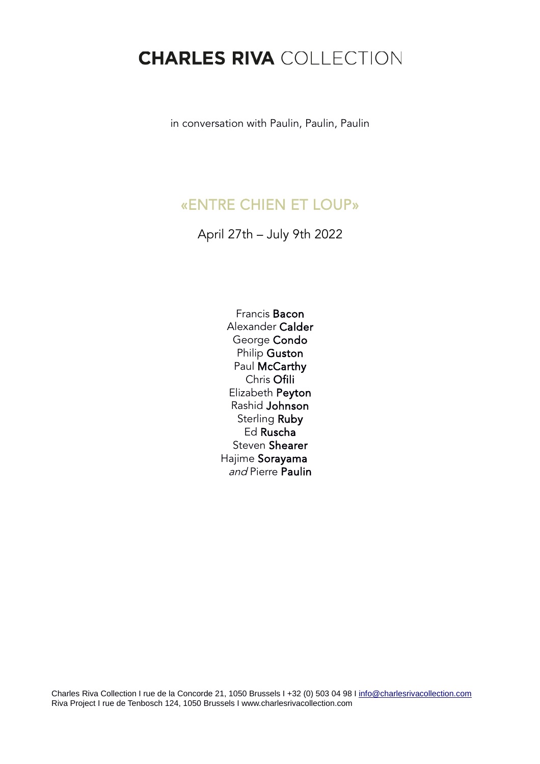## **CHARLES RIVA COLLECTION**

in conversation with Paulin, Paulin, Paulin

## «ENTRE CHIEN ET LOUP»

April 27th – July 9th 2022

Francis Bacon Alexander Calder George Condo Philip Guston Paul McCarthy Chris Ofili Elizabeth Peyton Rashid Johnson Sterling Ruby Ed Ruscha Steven Shearer Hajime Sorayama and Pierre Paulin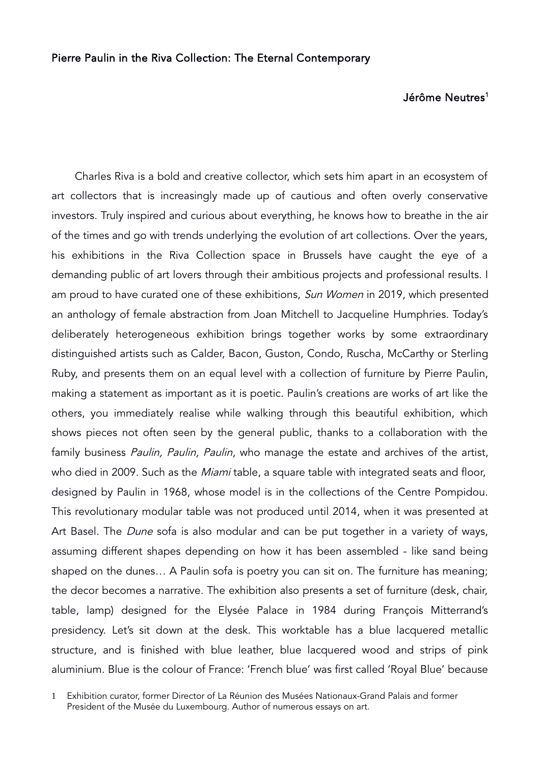## Jérôme Neutres<sup>[1](#page-1-0)</sup>

 Charles Riva is a bold and creative collector, which sets him apart in an ecosystem of art collectors that is increasingly made up of cautious and often overly conservative investors. Truly inspired and curious about everything, he knows how to breathe in the air of the times and go with trends underlying the evolution of art collections. Over the years, his exhibitions in the Riva Collection space in Brussels have caught the eye of a demanding public of art lovers through their ambitious projects and professional results. I am proud to have curated one of these exhibitions, Sun Women in 2019, which presented an anthology of female abstraction from Joan Mitchell to Jacqueline Humphries. Today's deliberately heterogeneous exhibition brings together works by some extraordinary distinguished artists such as Calder, Bacon, Guston, Condo, Ruscha, McCarthy or Sterling Ruby, and presents them on an equal level with a collection of furniture by Pierre Paulin, making a statement as important as it is poetic. Paulin's creations are works of art like the others, you immediately realise while walking through this beautiful exhibition, which shows pieces not often seen by the general public, thanks to a collaboration with the family business Paulin, Paulin, Paulin, who manage the estate and archives of the artist, who died in 2009. Such as the *Miami* table, a square table with integrated seats and floor, designed by Paulin in 1968, whose model is in the collections of the Centre Pompidou. This revolutionary modular table was not produced until 2014, when it was presented at Art Basel. The Dune sofa is also modular and can be put together in a variety of ways, assuming different shapes depending on how it has been assembled - like sand being shaped on the dunes… A Paulin sofa is poetry you can sit on. The furniture has meaning; the decor becomes a narrative. The exhibition also presents a set of furniture (desk, chair, table, lamp) designed for the Elysée Palace in 1984 during François Mitterrand's presidency. Let's sit down at the desk. This worktable has a blue lacquered metallic structure, and is finished with blue leather, blue lacquered wood and strips of pink aluminium. Blue is the colour of France: 'French blue' was first called 'Royal Blue' because

<span id="page-1-0"></span>1 Exhibition curator, former Director of La Réunion des Musées Nationaux-Grand Palais and former President of the Musée du Luxembourg. Author of numerous essays on art.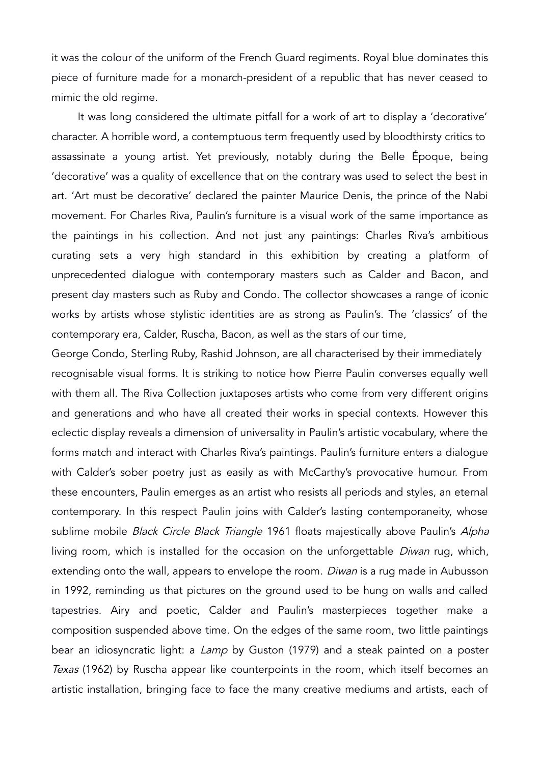it was the colour of the uniform of the French Guard regiments. Royal blue dominates this piece of furniture made for a monarch-president of a republic that has never ceased to mimic the old regime.

 It was long considered the ultimate pitfall for a work of art to display a 'decorative' character. A horrible word, a contemptuous term frequently used by bloodthirsty critics to assassinate a young artist. Yet previously, notably during the Belle Époque, being 'decorative' was a quality of excellence that on the contrary was used to select the best in art. 'Art must be decorative' declared the painter Maurice Denis, the prince of the Nabi movement. For Charles Riva, Paulin's furniture is a visual work of the same importance as the paintings in his collection. And not just any paintings: Charles Riva's ambitious curating sets a very high standard in this exhibition by creating a platform of unprecedented dialogue with contemporary masters such as Calder and Bacon, and present day masters such as Ruby and Condo. The collector showcases a range of iconic works by artists whose stylistic identities are as strong as Paulin's. The 'classics' of the contemporary era, Calder, Ruscha, Bacon, as well as the stars of our time,

George Condo, Sterling Ruby, Rashid Johnson, are all characterised by their immediately recognisable visual forms. It is striking to notice how Pierre Paulin converses equally well with them all. The Riva Collection juxtaposes artists who come from very different origins and generations and who have all created their works in special contexts. However this eclectic display reveals a dimension of universality in Paulin's artistic vocabulary, where the forms match and interact with Charles Riva's paintings. Paulin's furniture enters a dialogue with Calder's sober poetry just as easily as with McCarthy's provocative humour. From these encounters, Paulin emerges as an artist who resists all periods and styles, an eternal contemporary. In this respect Paulin joins with Calder's lasting contemporaneity, whose sublime mobile Black Circle Black Triangle 1961 floats majestically above Paulin's Alpha living room, which is installed for the occasion on the unforgettable *Diwan* rug, which, extending onto the wall, appears to envelope the room. *Diwan* is a rug made in Aubusson in 1992, reminding us that pictures on the ground used to be hung on walls and called tapestries. Airy and poetic, Calder and Paulin's masterpieces together make a composition suspended above time. On the edges of the same room, two little paintings bear an idiosyncratic light: a Lamp by Guston (1979) and a steak painted on a poster Texas (1962) by Ruscha appear like counterpoints in the room, which itself becomes an artistic installation, bringing face to face the many creative mediums and artists, each of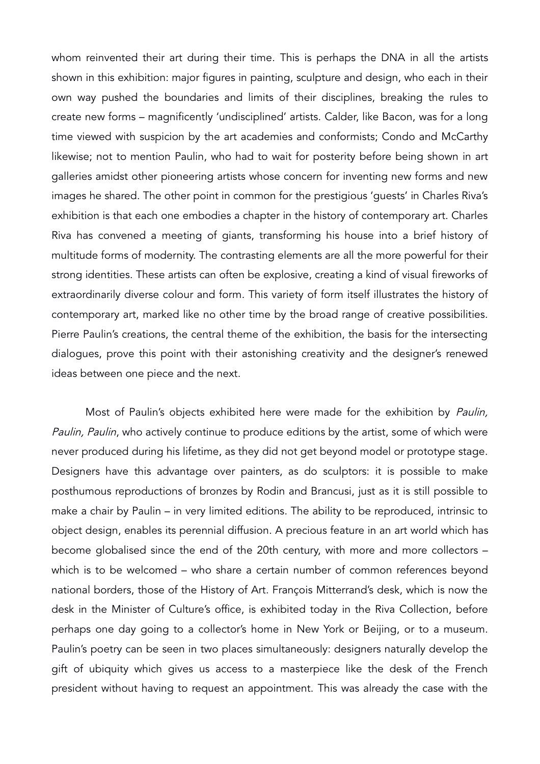whom reinvented their art during their time. This is perhaps the DNA in all the artists shown in this exhibition: major figures in painting, sculpture and design, who each in their own way pushed the boundaries and limits of their disciplines, breaking the rules to create new forms – magnificently 'undisciplined' artists. Calder, like Bacon, was for a long time viewed with suspicion by the art academies and conformists; Condo and McCarthy likewise; not to mention Paulin, who had to wait for posterity before being shown in art galleries amidst other pioneering artists whose concern for inventing new forms and new images he shared. The other point in common for the prestigious 'guests' in Charles Riva's exhibition is that each one embodies a chapter in the history of contemporary art. Charles Riva has convened a meeting of giants, transforming his house into a brief history of multitude forms of modernity. The contrasting elements are all the more powerful for their strong identities. These artists can often be explosive, creating a kind of visual fireworks of extraordinarily diverse colour and form. This variety of form itself illustrates the history of contemporary art, marked like no other time by the broad range of creative possibilities. Pierre Paulin's creations, the central theme of the exhibition, the basis for the intersecting dialogues, prove this point with their astonishing creativity and the designer's renewed ideas between one piece and the next.

Most of Paulin's objects exhibited here were made for the exhibition by Paulin, Paulin, Paulin, who actively continue to produce editions by the artist, some of which were never produced during his lifetime, as they did not get beyond model or prototype stage. Designers have this advantage over painters, as do sculptors: it is possible to make posthumous reproductions of bronzes by Rodin and Brancusi, just as it is still possible to make a chair by Paulin – in very limited editions. The ability to be reproduced, intrinsic to object design, enables its perennial diffusion. A precious feature in an art world which has become globalised since the end of the 20th century, with more and more collectors – which is to be welcomed – who share a certain number of common references beyond national borders, those of the History of Art. François Mitterrand's desk, which is now the desk in the Minister of Culture's office, is exhibited today in the Riva Collection, before perhaps one day going to a collector's home in New York or Beijing, or to a museum. Paulin's poetry can be seen in two places simultaneously: designers naturally develop the gift of ubiquity which gives us access to a masterpiece like the desk of the French president without having to request an appointment. This was already the case with the